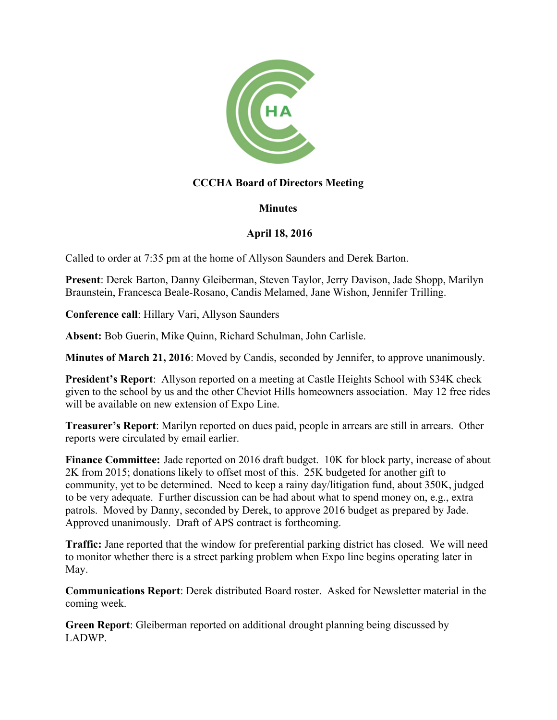

## **CCCHA Board of Directors Meeting**

## **Minutes**

## **April 18, 2016**

Called to order at 7:35 pm at the home of Allyson Saunders and Derek Barton.

**Present**: Derek Barton, Danny Gleiberman, Steven Taylor, Jerry Davison, Jade Shopp, Marilyn Braunstein, Francesca Beale-Rosano, Candis Melamed, Jane Wishon, Jennifer Trilling.

**Conference call**: Hillary Vari, Allyson Saunders

**Absent:** Bob Guerin, Mike Quinn, Richard Schulman, John Carlisle.

**Minutes of March 21, 2016**: Moved by Candis, seconded by Jennifer, to approve unanimously.

**President's Report**: Allyson reported on a meeting at Castle Heights School with \$34K check given to the school by us and the other Cheviot Hills homeowners association. May 12 free rides will be available on new extension of Expo Line.

**Treasurer's Report**: Marilyn reported on dues paid, people in arrears are still in arrears. Other reports were circulated by email earlier.

**Finance Committee:** Jade reported on 2016 draft budget. 10K for block party, increase of about 2K from 2015; donations likely to offset most of this. 25K budgeted for another gift to community, yet to be determined. Need to keep a rainy day/litigation fund, about 350K, judged to be very adequate. Further discussion can be had about what to spend money on, e.g., extra patrols. Moved by Danny, seconded by Derek, to approve 2016 budget as prepared by Jade. Approved unanimously. Draft of APS contract is forthcoming.

**Traffic:** Jane reported that the window for preferential parking district has closed. We will need to monitor whether there is a street parking problem when Expo line begins operating later in May.

**Communications Report**: Derek distributed Board roster. Asked for Newsletter material in the coming week.

**Green Report**: Gleiberman reported on additional drought planning being discussed by LADWP.